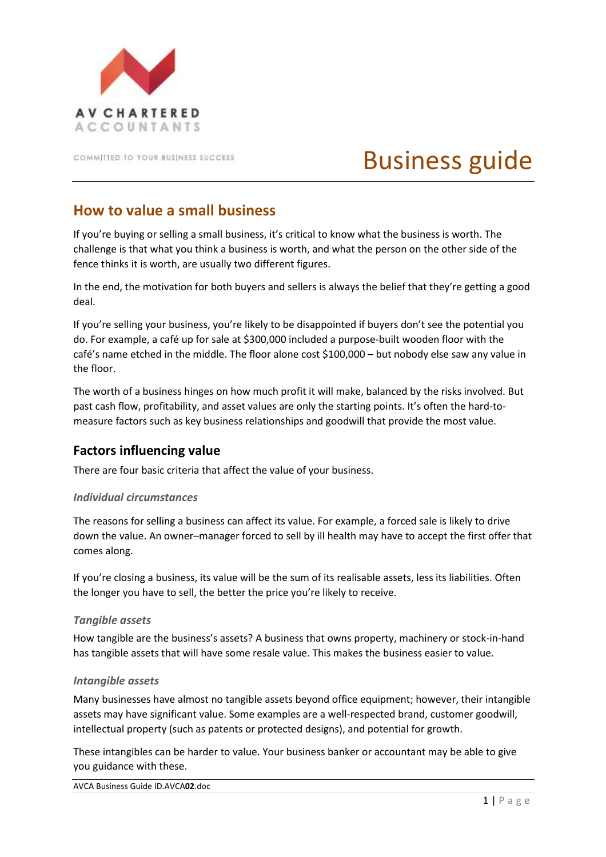

COMMITTED TO YOUR BUSINESS SUCCESS

# Business guide

# **How to value a small business**

If you're buying or selling a small business, it's critical to know what the business is worth. The challenge is that what you think a business is worth, and what the person on the other side of the fence thinks it is worth, are usually two different figures.

In the end, the motivation for both buyers and sellers is always the belief that they're getting a good deal.

If you're selling your business, you're likely to be disappointed if buyers don't see the potential you do. For example, a café up for sale at \$300,000 included a purpose-built wooden floor with the café's name etched in the middle. The floor alone cost \$100,000 – but nobody else saw any value in the floor.

The worth of a business hinges on how much profit it will make, balanced by the risks involved. But past cash flow, profitability, and asset values are only the starting points. It's often the hard-tomeasure factors such as key business relationships and goodwill that provide the most value.

# **Factors influencing value**

There are four basic criteria that affect the value of your business.

#### *Individual circumstances*

The reasons for selling a business can affect its value. For example, a forced sale is likely to drive down the value. An owner–manager forced to sell by ill health may have to accept the first offer that comes along.

If you're closing a business, its value will be the sum of its realisable assets, less its liabilities. Often the longer you have to sell, the better the price you're likely to receive.

#### *Tangible assets*

How tangible are the business's assets? A business that owns property, machinery or stock-in-hand has tangible assets that will have some resale value. This makes the business easier to value.

#### *Intangible assets*

Many businesses have almost no tangible assets beyond office equipment; however, their intangible assets may have significant value. Some examples are a well-respected brand, customer goodwill, intellectual property (such as patents or protected designs), and potential for growth.

These intangibles can be harder to value. Your business banker or accountant may be able to give you guidance with these.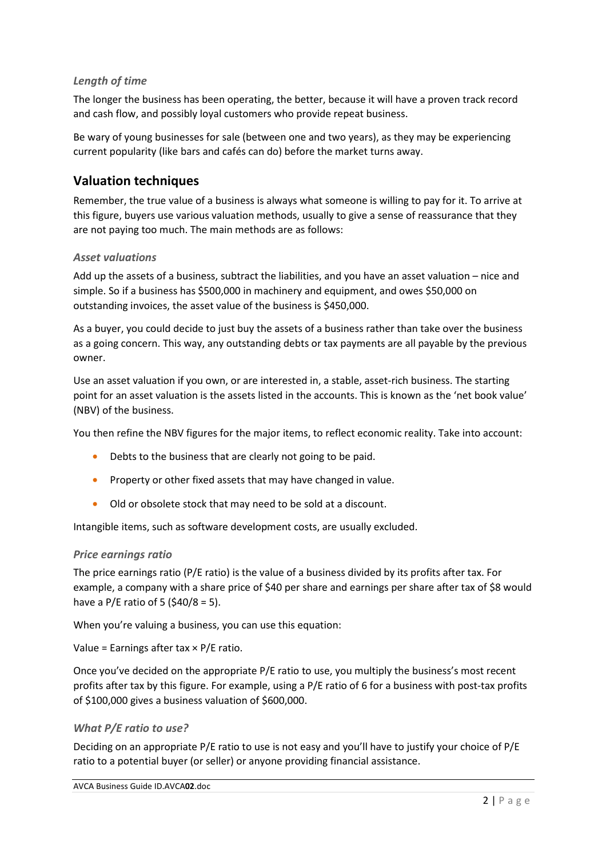#### *Length of time*

The longer the business has been operating, the better, because it will have a proven track record and cash flow, and possibly loyal customers who provide repeat business.

Be wary of young businesses for sale (between one and two years), as they may be experiencing current popularity (like bars and cafés can do) before the market turns away.

## **Valuation techniques**

Remember, the true value of a business is always what someone is willing to pay for it. To arrive at this figure, buyers use various valuation methods, usually to give a sense of reassurance that they are not paying too much. The main methods are as follows:

#### *Asset valuations*

Add up the assets of a business, subtract the liabilities, and you have an asset valuation – nice and simple. So if a business has \$500,000 in machinery and equipment, and owes \$50,000 on outstanding invoices, the asset value of the business is \$450,000.

As a buyer, you could decide to just buy the assets of a business rather than take over the business as a going concern. This way, any outstanding debts or tax payments are all payable by the previous owner.

Use an asset valuation if you own, or are interested in, a stable, asset-rich business. The starting point for an asset valuation is the assets listed in the accounts. This is known as the 'net book value' (NBV) of the business.

You then refine the NBV figures for the major items, to reflect economic reality. Take into account:

- Debts to the business that are clearly not going to be paid.
- Property or other fixed assets that may have changed in value.
- Old or obsolete stock that may need to be sold at a discount.

Intangible items, such as software development costs, are usually excluded.

#### *Price earnings ratio*

The price earnings ratio (P/E ratio) is the value of a business divided by its profits after tax. For example, a company with a share price of \$40 per share and earnings per share after tax of \$8 would have a P/E ratio of 5 (\$40/8 = 5).

When you're valuing a business, you can use this equation:

Value = Earnings after tax  $\times$  P/E ratio.

Once you've decided on the appropriate P/E ratio to use, you multiply the business's most recent profits after tax by this figure. For example, using a P/E ratio of 6 for a business with post-tax profits of \$100,000 gives a business valuation of \$600,000.

#### *What P/E ratio to use?*

Deciding on an appropriate P/E ratio to use is not easy and you'll have to justify your choice of P/E ratio to a potential buyer (or seller) or anyone providing financial assistance.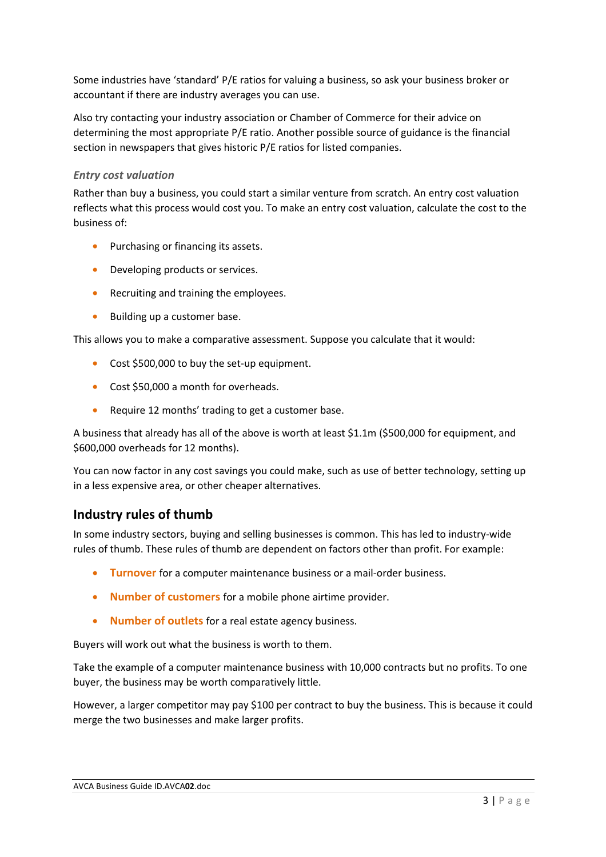Some industries have 'standard' P/E ratios for valuing a business, so ask your business broker or accountant if there are industry averages you can use.

Also try contacting your industry association or Chamber of Commerce for their advice on determining the most appropriate P/E ratio. Another possible source of guidance is the financial section in newspapers that gives historic P/E ratios for listed companies.

#### *Entry cost valuation*

Rather than buy a business, you could start a similar venture from scratch. An entry cost valuation reflects what this process would cost you. To make an entry cost valuation, calculate the cost to the business of:

- Purchasing or financing its assets.
- Developing products or services.
- Recruiting and training the employees.
- Building up a customer base.

This allows you to make a comparative assessment. Suppose you calculate that it would:

- Cost \$500,000 to buy the set-up equipment.
- Cost \$50,000 a month for overheads.
- Require 12 months' trading to get a customer base.

A business that already has all of the above is worth at least \$1.1m (\$500,000 for equipment, and \$600,000 overheads for 12 months).

You can now factor in any cost savings you could make, such as use of better technology, setting up in a less expensive area, or other cheaper alternatives.

### **Industry rules of thumb**

In some industry sectors, buying and selling businesses is common. This has led to industry-wide rules of thumb. These rules of thumb are dependent on factors other than profit. For example:

- **Turnover** for a computer maintenance business or a mail-order business.
- **Number of customers** for a mobile phone airtime provider.
- **Number of outlets** for a real estate agency business.

Buyers will work out what the business is worth to them.

Take the example of a computer maintenance business with 10,000 contracts but no profits. To one buyer, the business may be worth comparatively little.

However, a larger competitor may pay \$100 per contract to buy the business. This is because it could merge the two businesses and make larger profits.